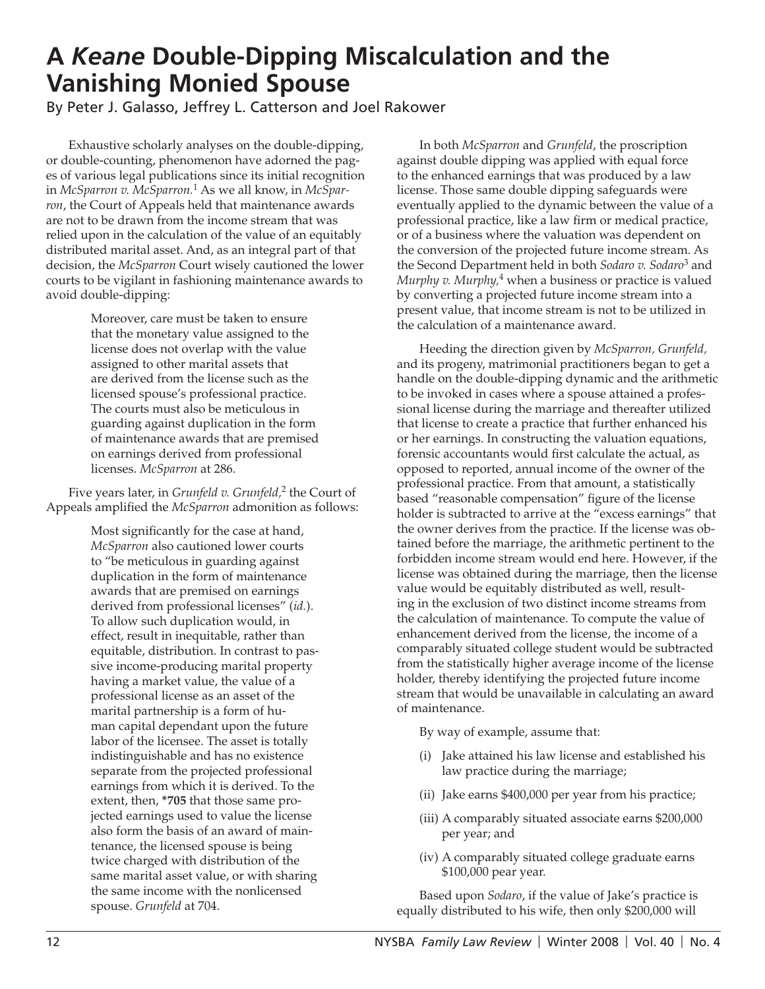## **A** *Keane* **Double-Dipping Miscalculation and the Vanishing Monied Spouse**

By Peter J. Galasso, Jeffrey L. Catterson and Joel Rakower

Exhaustive scholarly analyses on the double-dipping, or double-counting, phenomenon have adorned the pages of various legal publications since its initial recognition in *McSparron v. McSparron.*1 As we all know, in *McSparron*, the Court of Appeals held that maintenance awards are not to be drawn from the income stream that was relied upon in the calculation of the value of an equitably distributed marital asset. And, as an integral part of that decision, the *McSparron* Court wisely cautioned the lower courts to be vigilant in fashioning maintenance awards to avoid double-dipping:

> Moreover, care must be taken to ensure that the monetary value assigned to the license does not overlap with the value assigned to other marital assets that are derived from the license such as the licensed spouse's professional practice. The courts must also be meticulous in guarding against duplication in the form of maintenance awards that are premised on earnings derived from professional licenses. *McSparron* at 286.

Five years later, in *Grunfeld v. Grunfeld,*<sup>2</sup> the Court of Appeals amplified the *McSparron* admonition as follows:

> Most significantly for the case at hand, *McSparron* also cautioned lower courts to "be meticulous in guarding against duplication in the form of maintenance awards that are premised on earnings derived from professional licenses" (*id.*). To allow such duplication would, in effect, result in inequitable, rather than equitable, distribution. In contrast to passive income-producing marital property having a market value, the value of a professional license as an asset of the marital partnership is a form of human capital dependant upon the future labor of the licensee. The asset is totally indistinguishable and has no existence separate from the projected professional earnings from which it is derived. To the extent, then, **\*705** that those same projected earnings used to value the license also form the basis of an award of maintenance, the licensed spouse is being twice charged with distribution of the same marital asset value, or with sharing the same income with the nonlicensed spouse. *Grunfeld* at 704.

In both *McSparron* and *Grunfeld*, the proscription against double dipping was applied with equal force to the enhanced earnings that was produced by a law license. Those same double dipping safeguards were eventually applied to the dynamic between the value of a professional practice, like a law firm or medical practice, or of a business where the valuation was dependent on the conversion of the projected future income stream. As the Second Department held in both *Sodaro v. Sodaro*<sup>3</sup> and *Murphy v. Murphy,*4 when a business or practice is valued by converting a projected future income stream into a present value, that income stream is not to be utilized in the calculation of a maintenance award.

Heeding the direction given by *McSparron, Grunfeld,*  and its progeny, matrimonial practitioners began to get a handle on the double-dipping dynamic and the arithmetic to be invoked in cases where a spouse attained a professional license during the marriage and thereafter utilized that license to create a practice that further enhanced his or her earnings. In constructing the valuation equations, forensic accountants would first calculate the actual, as opposed to reported, annual income of the owner of the professional practice. From that amount, a statistically based "reasonable compensation" figure of the license holder is subtracted to arrive at the "excess earnings" that the owner derives from the practice. If the license was obtained before the marriage, the arithmetic pertinent to the forbidden income stream would end here. However, if the license was obtained during the marriage, then the license value would be equitably distributed as well, resulting in the exclusion of two distinct income streams from the calculation of maintenance. To compute the value of enhancement derived from the license, the income of a comparably situated college student would be subtracted from the statistically higher average income of the license holder, thereby identifying the projected future income stream that would be unavailable in calculating an award of maintenance.

By way of example, assume that:

- (i) Jake attained his law license and established his law practice during the marriage;
- (ii) Jake earns \$400,000 per year from his practice;
- (iii) A comparably situated associate earns \$200,000 per year; and
- (iv) A comparably situated college graduate earns \$100,000 pear year.

Based upon *Sodaro*, if the value of Jake's practice is equally distributed to his wife, then only \$200,000 will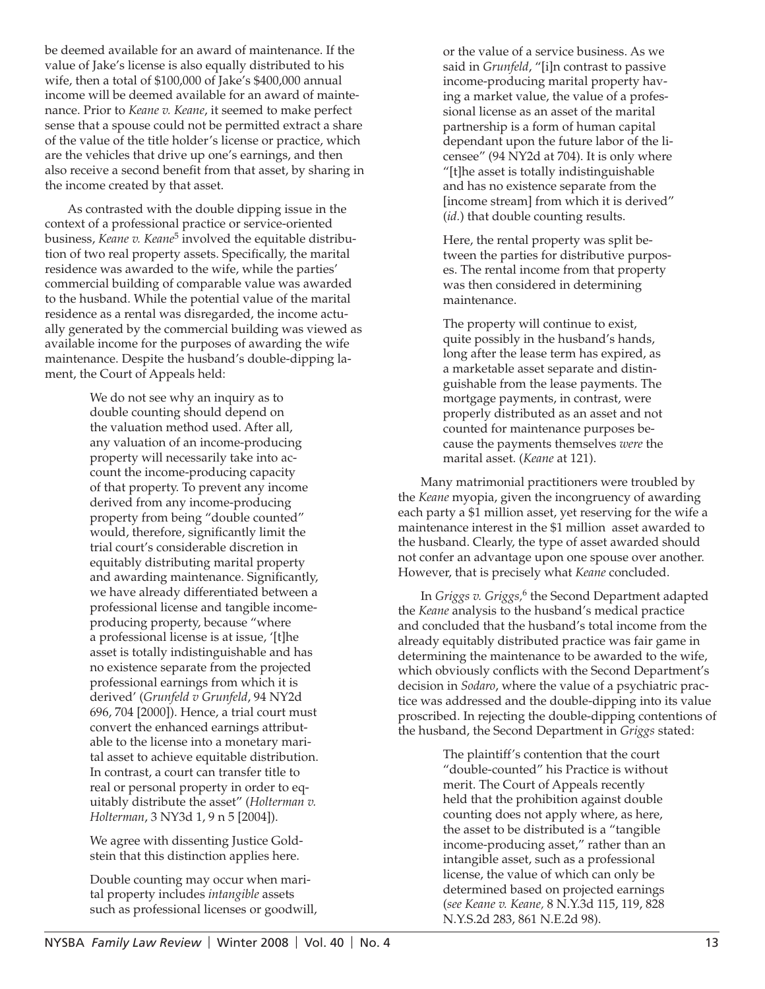be deemed available for an award of maintenance. If the value of Jake's license is also equally distributed to his wife, then a total of \$100,000 of Jake's \$400,000 annual income will be deemed available for an award of maintenance. Prior to *Keane v. Keane*, it seemed to make perfect sense that a spouse could not be permitted extract a share of the value of the title holder's license or practice, which are the vehicles that drive up one's earnings, and then also receive a second benefit from that asset, by sharing in the income created by that asset.

As contrasted with the double dipping issue in the context of a professional practice or service-oriented business, *Keane v. Keane*5 involved the equitable distribution of two real property assets. Specifically, the marital residence was awarded to the wife, while the parties' commercial building of comparable value was awarded to the husband. While the potential value of the marital residence as a rental was disregarded, the income actually generated by the commercial building was viewed as available income for the purposes of awarding the wife maintenance. Despite the husband's double-dipping lament, the Court of Appeals held:

> We do not see why an inquiry as to double counting should depend on the valuation method used. After all, any valuation of an income-producing property will necessarily take into account the income-producing capacity of that property. To prevent any income derived from any income-producing property from being "double counted" would, therefore, significantly limit the trial court's considerable discretion in equitably distributing marital property and awarding maintenance. Significantly, we have already differentiated between a professional license and tangible incomeproducing property, because "where a professional license is at issue, '[t]he asset is totally indistinguishable and has no existence separate from the projected professional earnings from which it is derived' (*Grunfeld v Grunfeld*, 94 NY2d 696, 704 [2000]). Hence, a trial court must convert the enhanced earnings attributable to the license into a monetary marital asset to achieve equitable distribution. In contrast, a court can transfer title to real or personal property in order to equitably distribute the asset" (*Holterman v. Holterman*, 3 NY3d 1, 9 n 5 [2004]).

We agree with dissenting Justice Goldstein that this distinction applies here.

Double counting may occur when marital property includes *intangible* assets such as professional licenses or goodwill, or the value of a service business. As we said in *Grunfeld*, "[i]n contrast to passive income-producing marital property having a market value, the value of a professional license as an asset of the marital partnership is a form of human capital dependant upon the future labor of the licensee" (94 NY2d at 704). It is only where "[t]he asset is totally indistinguishable and has no existence separate from the [income stream] from which it is derived" (*id.*) that double counting results.

Here, the rental property was split between the parties for distributive purposes. The rental income from that property was then considered in determining maintenance.

The property will continue to exist, quite possibly in the husband's hands, long after the lease term has expired, as a marketable asset separate and distinguishable from the lease payments. The mortgage payments, in contrast, were properly distributed as an asset and not counted for maintenance purposes because the payments themselves *were* the marital asset. (*Keane* at 121).

Many matrimonial practitioners were troubled by the *Keane* myopia, given the incongruency of awarding each party a \$1 million asset, yet reserving for the wife a maintenance interest in the \$1 million asset awarded to the husband. Clearly, the type of asset awarded should not confer an advantage upon one spouse over another. However, that is precisely what *Keane* concluded.

In *Griggs v. Griggs*,<sup>6</sup> the Second Department adapted the *Keane* analysis to the husband's medical practice and concluded that the husband's total income from the already equitably distributed practice was fair game in determining the maintenance to be awarded to the wife, which obviously conflicts with the Second Department's decision in *Sodaro*, where the value of a psychiatric practice was addressed and the double-dipping into its value proscribed. In rejecting the double-dipping contentions of the husband, the Second Department in *Griggs* stated:

> The plaintiff's contention that the court "double-counted" his Practice is without merit. The Court of Appeals recently held that the prohibition against double counting does not apply where, as here, the asset to be distributed is a "tangible income-producing asset," rather than an intangible asset, such as a professional license, the value of which can only be determined based on projected earnings (*see Keane v. Keane,* 8 N.Y.3d 115, 119, 828 N.Y.S.2d 283, 861 N.E.2d 98).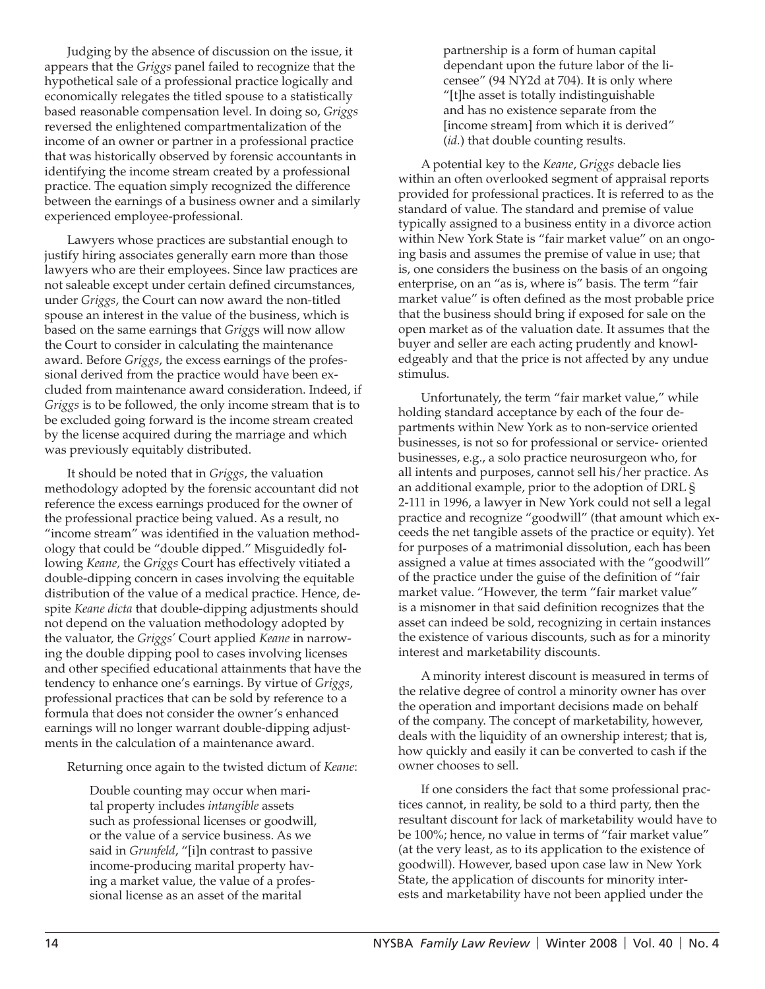Judging by the absence of discussion on the issue, it appears that the *Griggs* panel failed to recognize that the hypothetical sale of a professional practice logically and economically relegates the titled spouse to a statistically based reasonable compensation level. In doing so, *Griggs* reversed the enlightened compartmentalization of the income of an owner or partner in a professional practice that was historically observed by forensic accountants in identifying the income stream created by a professional practice. The equation simply recognized the difference between the earnings of a business owner and a similarly experienced employee-professional.

Lawyers whose practices are substantial enough to justify hiring associates generally earn more than those lawyers who are their employees. Since law practices are not saleable except under certain defined circumstances, under *Griggs*, the Court can now award the non-titled spouse an interest in the value of the business, which is based on the same earnings that *Grigg*s will now allow the Court to consider in calculating the maintenance award. Before *Griggs*, the excess earnings of the professional derived from the practice would have been excluded from maintenance award consideration. Indeed, if *Griggs* is to be followed, the only income stream that is to be excluded going forward is the income stream created by the license acquired during the marriage and which was previously equitably distributed.

It should be noted that in *Griggs*, the valuation methodology adopted by the forensic accountant did not reference the excess earnings produced for the owner of the professional practice being valued. As a result, no "income stream" was identified in the valuation methodology that could be "double dipped." Misguidedly following *Keane,* the *Griggs* Court has effectively vitiated a double-dipping concern in cases involving the equitable distribution of the value of a medical practice. Hence, despite *Keane dicta* that double-dipping adjustments should not depend on the valuation methodology adopted by the valuator, the *Griggs'* Court applied *Keane* in narrowing the double dipping pool to cases involving licenses and other specified educational attainments that have the tendency to enhance one's earnings. By virtue of *Griggs*, professional practices that can be sold by reference to a formula that does not consider the owner's enhanced earnings will no longer warrant double-dipping adjustments in the calculation of a maintenance award.

Returning once again to the twisted dictum of *Keane*:

Double counting may occur when marital property includes *intangible* assets such as professional licenses or goodwill, or the value of a service business. As we said in *Grunfeld*, "[i]n contrast to passive income-producing marital property having a market value, the value of a professional license as an asset of the marital

partnership is a form of human capital dependant upon the future labor of the licensee" (94 NY2d at 704). It is only where "[t]he asset is totally indistinguishable and has no existence separate from the [income stream] from which it is derived" (*id.*) that double counting results.

A potential key to the *Keane*, *Griggs* debacle lies within an often overlooked segment of appraisal reports provided for professional practices. It is referred to as the standard of value. The standard and premise of value typically assigned to a business entity in a divorce action within New York State is "fair market value" on an ongoing basis and assumes the premise of value in use; that is, one considers the business on the basis of an ongoing enterprise, on an "as is, where is" basis. The term "fair market value" is often defined as the most probable price that the business should bring if exposed for sale on the open market as of the valuation date. It assumes that the buyer and seller are each acting prudently and knowledgeably and that the price is not affected by any undue stimulus.

Unfortunately, the term "fair market value," while holding standard acceptance by each of the four departments within New York as to non-service oriented businesses, is not so for professional or service- oriented businesses, e.g., a solo practice neurosurgeon who, for all intents and purposes, cannot sell his/her practice. As an additional example, prior to the adoption of DRL § 2-111 in 1996, a lawyer in New York could not sell a legal practice and recognize "goodwill" (that amount which exceeds the net tangible assets of the practice or equity). Yet for purposes of a matrimonial dissolution, each has been assigned a value at times associated with the "goodwill" of the practice under the guise of the definition of "fair" market value. "However, the term "fair market value" is a misnomer in that said definition recognizes that the asset can indeed be sold, recognizing in certain instances the existence of various discounts, such as for a minority interest and marketability discounts.

A minority interest discount is measured in terms of the relative degree of control a minority owner has over the operation and important decisions made on behalf of the company. The concept of marketability, however, deals with the liquidity of an ownership interest; that is, how quickly and easily it can be converted to cash if the owner chooses to sell.

If one considers the fact that some professional practices cannot, in reality, be sold to a third party, then the resultant discount for lack of marketability would have to be 100%; hence, no value in terms of "fair market value" (at the very least, as to its application to the existence of goodwill). However, based upon case law in New York State, the application of discounts for minority interests and marketability have not been applied under the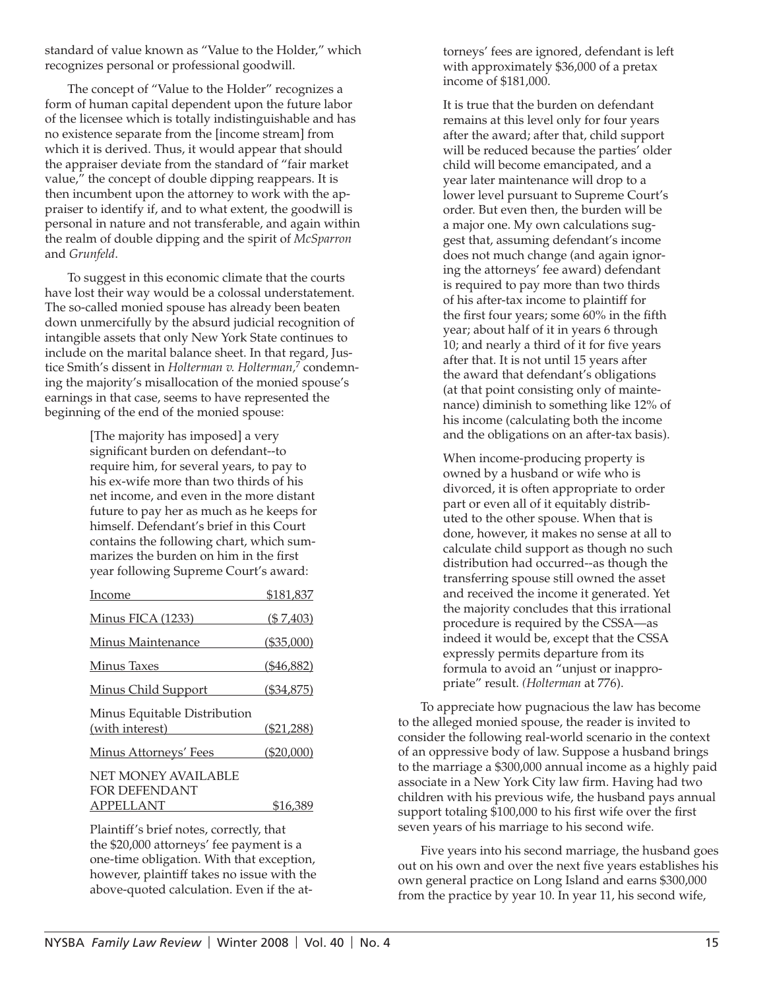standard of value known as "Value to the Holder," which recognizes personal or professional goodwill.

The concept of "Value to the Holder" recognizes a form of human capital dependent upon the future labor of the licensee which is totally indistinguishable and has no existence separate from the [income stream] from which it is derived. Thus, it would appear that should the appraiser deviate from the standard of "fair market value," the concept of double dipping reappears. It is then incumbent upon the attorney to work with the appraiser to identify if, and to what extent, the goodwill is personal in nature and not transferable, and again within the realm of double dipping and the spirit of *McSparron* and *Grunfeld*.

To suggest in this economic climate that the courts have lost their way would be a colossal understatement. The so-called monied spouse has already been beaten down unmercifully by the absurd judicial recognition of intangible assets that only New York State continues to include on the marital balance sheet. In that regard, Justice Smith's dissent in *Holterman v. Holterman,*<sup>7</sup> condemning the majority's misallocation of the monied spouse's earnings in that case, seems to have represented the beginning of the end of the monied spouse:

> [The majority has imposed] a very significant burden on defendant--to require him, for several years, to pay to his ex-wife more than two thirds of his net income, and even in the more distant future to pay her as much as he keeps for himself. Defendant's brief in this Court contains the following chart, which summarizes the burden on him in the first year following Supreme Court's award:

| Income                                                                                         | \$181,837    |
|------------------------------------------------------------------------------------------------|--------------|
| <u>Minus FICA (1233)</u>                                                                       | (\$7,403)    |
| Minus Maintenance                                                                              | $(\$35,000)$ |
| Minus Taxes                                                                                    | $(*46,882)$  |
| <b>Minus Child Support</b>                                                                     | (\$34,875)   |
| Minus Equitable Distribution<br>(with interest)<br><u> 1999 - Jan Jawa Barat, profesora po</u> | $(\$21,288)$ |
| <b>Minus Attorneys' Fees</b>                                                                   | $(\$20,000)$ |
| NET MONEY AVAILABLE<br><b>FOR DEFENDANT</b>                                                    |              |
| <b>APPELLANT</b>                                                                               | \$16,389     |

Plaintiff's brief notes, correctly, that the \$20,000 attorneys' fee payment is a one-time obligation. With that exception, however, plaintiff takes no issue with the above-quoted calculation. Even if the attorneys' fees are ignored, defendant is left with approximately \$36,000 of a pretax income of \$181,000.

It is true that the burden on defendant remains at this level only for four years after the award; after that, child support will be reduced because the parties' older child will become emancipated, and a year later maintenance will drop to a lower level pursuant to Supreme Court's order. But even then, the burden will be a major one. My own calculations suggest that, assuming defendant's income does not much change (and again ignoring the attorneys' fee award) defendant is required to pay more than two thirds of his after-tax income to plaintiff for the first four years; some 60% in the fifth year; about half of it in years 6 through 10; and nearly a third of it for five years after that. It is not until 15 years after the award that defendant's obligations (at that point consisting only of maintenance) diminish to something like 12% of his income (calculating both the income and the obligations on an after-tax basis).

When income-producing property is owned by a husband or wife who is divorced, it is often appropriate to order part or even all of it equitably distributed to the other spouse. When that is done, however, it makes no sense at all to calculate child support as though no such distribution had occurred--as though the transferring spouse still owned the asset and received the income it generated. Yet the majority concludes that this irrational procedure is required by the CSSA—as indeed it would be, except that the CSSA expressly permits departure from its formula to avoid an "unjust or inappropriate" result. *(Holterman* at 776).

To appreciate how pugnacious the law has become to the alleged monied spouse, the reader is invited to consider the following real-world scenario in the context of an oppressive body of law. Suppose a husband brings to the marriage a \$300,000 annual income as a highly paid associate in a New York City law firm. Having had two children with his previous wife, the husband pays annual support totaling \$100,000 to his first wife over the first seven years of his marriage to his second wife.

Five years into his second marriage, the husband goes out on his own and over the next five years establishes his own general practice on Long Island and earns \$300,000 from the practice by year 10. In year 11, his second wife,